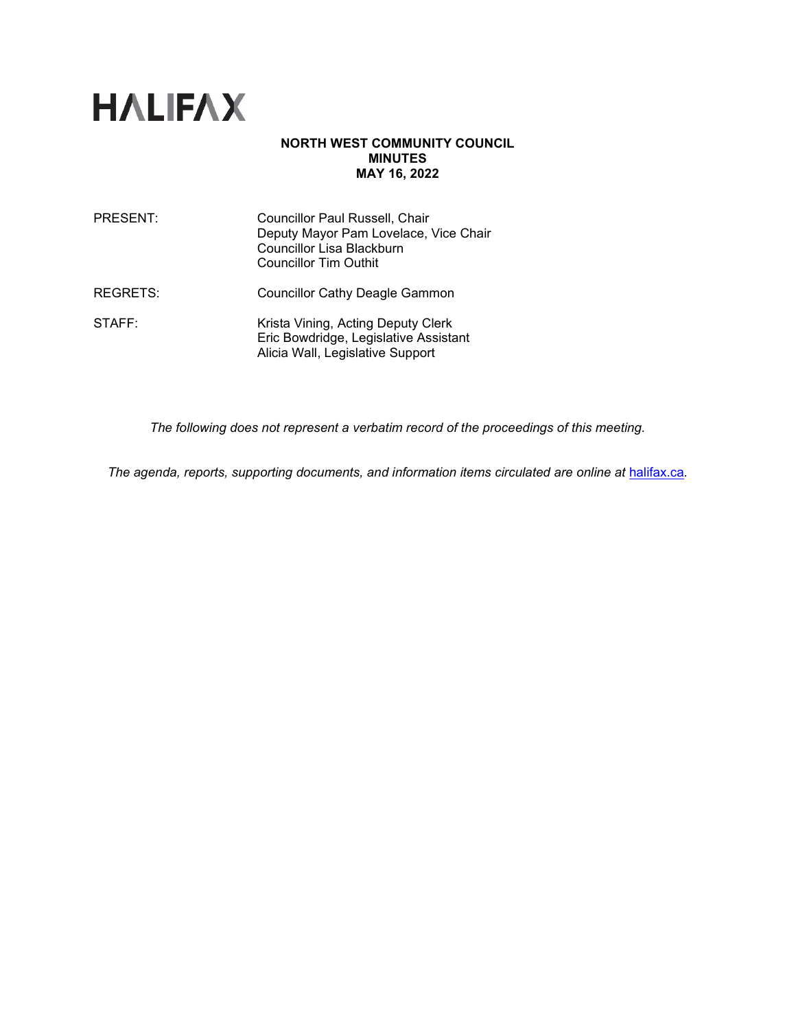

## **NORTH WEST COMMUNITY COUNCIL MINUTES MAY 16, 2022**

| PRESENT:        | Councillor Paul Russell, Chair<br>Deputy Mayor Pam Lovelace, Vice Chair<br>Councillor Lisa Blackburn<br><b>Councillor Tim Outhit</b> |
|-----------------|--------------------------------------------------------------------------------------------------------------------------------------|
| <b>REGRETS:</b> | <b>Councillor Cathy Deagle Gammon</b>                                                                                                |
| STAFF:          | Krista Vining, Acting Deputy Clerk<br>Eric Bowdridge, Legislative Assistant<br>Alicia Wall, Legislative Support                      |

*The following does not represent a verbatim record of the proceedings of this meeting.*

*The agenda, reports, supporting documents, and information items circulated are online at [halifax.ca](http://www.halifax.ca/).*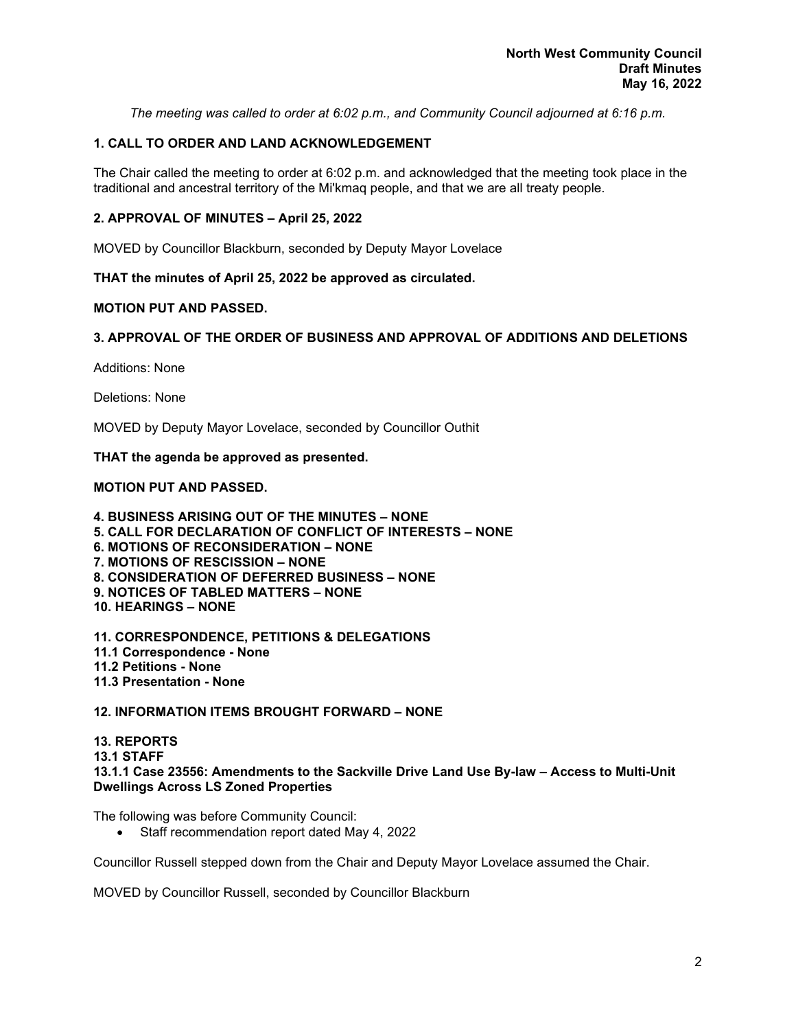*The meeting was called to order at 6:02 p.m., and Community Council adjourned at 6:16 p.m.*

# **1. CALL TO ORDER AND LAND ACKNOWLEDGEMENT**

The Chair called the meeting to order at 6:02 p.m. and acknowledged that the meeting took place in the traditional and ancestral territory of the Mi'kmaq people, and that we are all treaty people.

## **2. APPROVAL OF MINUTES – April 25, 2022**

MOVED by Councillor Blackburn, seconded by Deputy Mayor Lovelace

**THAT the minutes of April 25, 2022 be approved as circulated.**

## **MOTION PUT AND PASSED.**

## **3. APPROVAL OF THE ORDER OF BUSINESS AND APPROVAL OF ADDITIONS AND DELETIONS**

Additions: None

Deletions: None

MOVED by Deputy Mayor Lovelace, seconded by Councillor Outhit

#### **THAT the agenda be approved as presented.**

## **MOTION PUT AND PASSED.**

**4. BUSINESS ARISING OUT OF THE MINUTES – NONE 5. CALL FOR DECLARATION OF CONFLICT OF INTERESTS – NONE 6. MOTIONS OF RECONSIDERATION – NONE 7. MOTIONS OF RESCISSION – NONE 8. CONSIDERATION OF DEFERRED BUSINESS – NONE 9. NOTICES OF TABLED MATTERS – NONE 10. HEARINGS – NONE**

**11. CORRESPONDENCE, PETITIONS & DELEGATIONS 11.1 Correspondence - None 11.2 Petitions - None 11.3 Presentation - None**

**12. INFORMATION ITEMS BROUGHT FORWARD – NONE**

**13. REPORTS 13.1 STAFF 13.1.1 Case 23556: Amendments to the Sackville Drive Land Use By-law – Access to Multi-Unit Dwellings Across LS Zoned Properties**

The following was before Community Council:

• Staff recommendation report dated May 4, 2022

Councillor Russell stepped down from the Chair and Deputy Mayor Lovelace assumed the Chair.

MOVED by Councillor Russell, seconded by Councillor Blackburn